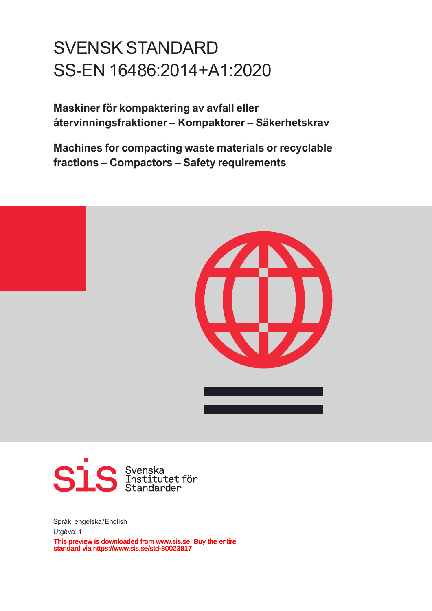# SS-EN 16486:2014+A1:2020 SVENSK STANDARD

**Maskiner för kompaktering av avfall eller återvinningsfraktioner – Kompaktorer – Säkerhetskrav**

**Machines for compacting waste materials or recyclable fractions – Compactors – Safety requirements**





Språk: engelska/English Utgåva: 1 This preview is downloaded from www.sis.se. Buy the entire standard via https://www.sis.se/std-80023817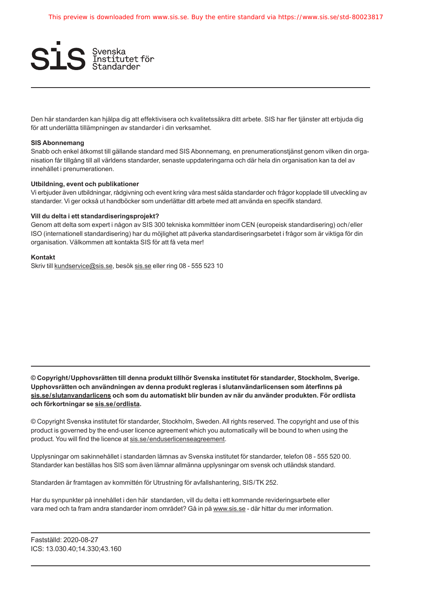

Den här standarden kan hjälpa dig att effektivisera och kvalitetssäkra ditt arbete. SIS har fler tjänster att erbjuda dig för att underlätta tillämpningen av standarder i din verksamhet.

#### **SIS Abonnemang**

Snabb och enkel åtkomst till gällande standard med SIS Abonnemang, en prenumerationstjänst genom vilken din organisation får tillgång till all världens standarder, senaste uppdateringarna och där hela din organisation kan ta del av innehållet i prenumerationen.

#### **Utbildning, event och publikationer**

Vi erbjuder även utbildningar, rådgivning och event kring våra mest sålda standarder och frågor kopplade till utveckling av standarder. Vi ger också ut handböcker som underlättar ditt arbete med att använda en specifik standard.

#### **Vill du delta i ett standardiseringsprojekt?**

Genom att delta som expert i någon av SIS 300 tekniska kommittéer inom CEN (europeisk standardisering) och / eller ISO (internationell standardisering) har du möjlighet att påverka standardiseringsarbetet i frågor som är viktiga för din organisation. Välkommen att kontakta SIS för att få veta mer!

#### **Kontakt**

Skriv till [kundservice@sis.se](mailto:kundservice%40sis.se?subject=kontakt), besök [sis.se](https://www.sis.se) eller ring 08 - 555 523 10

**© Copyright / Upphovsrätten till denna produkt tillhör Svenska institutet för standarder, Stockholm, Sverige. Upphovsrätten och användningen av denna produkt regleras i slutanvändarlicensen som återfinns på [sis.se / slutanvandarlicens](https://www.sis.se/slutanvandarlicens) och som du automatiskt blir bunden av när du använder produkten. För ordlista och förkortningar se sis.se[/ ordlista](https://www.sis.se/ordlista).**

© Copyright Svenska institutet för standarder, Stockholm, Sweden. All rights reserved. The copyright and use of this product is governed by the end-user licence agreement which you automatically will be bound to when using the product. You will find the licence at sis.se/enduserlicenseagreement.

Upplysningar om sakinnehållet i standarden lämnas av Svenska institutet för standarder, telefon 08 - 555 520 00. Standarder kan beställas hos SIS som även lämnar allmänna upplysningar om svensk och utländsk standard.

Standarden är framtagen av kommittén för Utrustning för avfallshantering, SIS / TK 252.

Har du synpunkter på innehållet i den här standarden, vill du delta i ett kommande revideringsarbete eller vara med och ta fram andra standarder inom området? Gå in på [www.sis.se](https://www.sis.se) - där hittar du mer information.

Fastställd: 2020-08-27 ICS: 13.030.40;14.330;43.160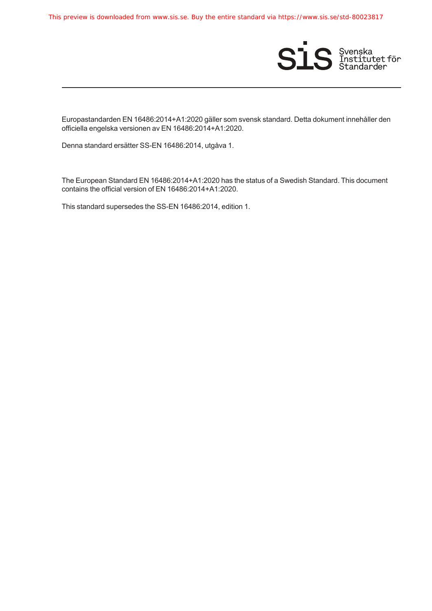This preview is downloaded from www.sis.se. Buy the entire standard via https://www.sis.se/std-80023817



Europastandarden EN 16486:2014+A1:2020 gäller som svensk standard. Detta dokument innehåller den officiella engelska versionen av EN 16486:2014+A1:2020.

Denna standard ersätter SS-EN 16486:2014, utgåva 1.

The European Standard EN 16486:2014+A1:2020 has the status of a Swedish Standard. This document contains the official version of EN 16486:2014+A1:2020.

This standard supersedes the SS-EN 16486:2014, edition 1.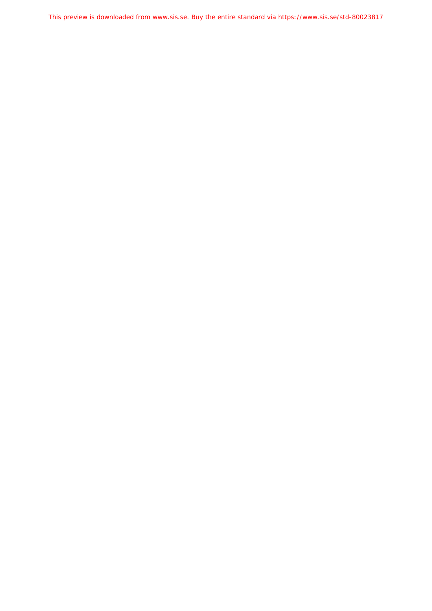This preview is downloaded from www.sis.se. Buy the entire standard via https://www.sis.se/std-80023817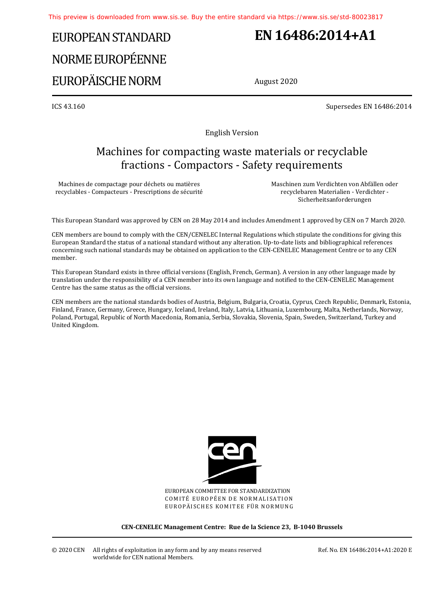# EUROPEAN STANDARD NORME EUROPÉENNE EUROPÄISCHE NORM

# **EN 16486:2014+A1**

August 2020

ICS 43.160 Supersedes EN 16486:2014

English Version

# Machines for compacting waste materials or recyclable fractions - Compactors - Safety requirements

Machines de compactage pour déchets ou matières recyclables - Compacteurs - Prescriptions de sécurité  Maschinen zum Verdichten von Abfällen oder recyclebaren Materialien - Verdichter - Sicherheitsanforderungen

This European Standard was approved by CEN on 28 May 2014 and includes Amendment 1 approved by CEN on 7 March 2020.

CEN members are bound to comply with the CEN/CENELEC Internal Regulations which stipulate the conditions for giving this European Standard the status of a national standard without any alteration. Up-to-date lists and bibliographical references concerning such national standards may be obtained on application to the CEN-CENELEC Management Centre or to any CEN member.

This European Standard exists in three official versions (English, French, German). A version in any other language made by translation under the responsibility of a CEN member into its own language and notified to the CEN-CENELEC Management Centre has the same status as the official versions.

CEN members are the national standards bodies of Austria, Belgium, Bulgaria, Croatia, Cyprus, Czech Republic, Denmark, Estonia, Finland, France, Germany, Greece, Hungary, Iceland, Ireland, Italy, Latvia, Lithuania, Luxembourg, Malta, Netherlands, Norway, Poland, Portugal, Republic of North Macedonia, Romania, Serbia, Slovakia, Slovenia, Spain, Sweden, Switzerland, Turkey and United Kingdom.



EUROPEAN COMMITTEE FOR STANDARDIZATION COMITÉ EUROPÉEN DE NORMALISATION EUROPÄISCHES KOMITEE FÜR NORMUNG

**CEN-CENELEC Management Centre: Rue de la Science 23, B-1040 Brussels** 

© 2020 CEN All rights of exploitation in any form and by any means reserved worldwide for CEN national Members.

Ref. No. EN 16486:2014+A1:2020 E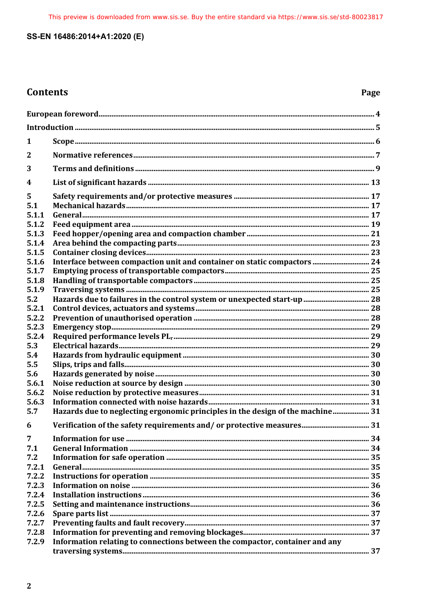# **Contents**

## Page

| 1            |                                                                                |  |
|--------------|--------------------------------------------------------------------------------|--|
| $\mathbf{2}$ |                                                                                |  |
| 3            |                                                                                |  |
| 4            |                                                                                |  |
| 5            |                                                                                |  |
| 5.1          |                                                                                |  |
| 5.1.1        |                                                                                |  |
| 5.1.2        |                                                                                |  |
| 5.1.3        |                                                                                |  |
| 5.1.4        |                                                                                |  |
| 5.1.5        |                                                                                |  |
| 5.1.6        |                                                                                |  |
| 5.1.7        |                                                                                |  |
| 5.1.8        |                                                                                |  |
| 5.1.9        |                                                                                |  |
| 5.2          |                                                                                |  |
| 5.2.1        |                                                                                |  |
| 5.2.2        |                                                                                |  |
| 5.2.3        |                                                                                |  |
| 5.2.4        |                                                                                |  |
| 5.3          |                                                                                |  |
| 5.4          |                                                                                |  |
| 5.5          |                                                                                |  |
| 5.6          |                                                                                |  |
| 5.6.1        |                                                                                |  |
| 5.6.2        |                                                                                |  |
| 5.6.3        |                                                                                |  |
|              |                                                                                |  |
| 5.7          | Hazards due to neglecting ergonomic principles in the design of the machine 31 |  |
| 6            |                                                                                |  |
| 7            |                                                                                |  |
| 7.1          |                                                                                |  |
| 7.2          |                                                                                |  |
| 7.2.1        |                                                                                |  |
| 7.2.2        |                                                                                |  |
| 7.2.3        |                                                                                |  |
| 7.2.4        |                                                                                |  |
| 7.2.5        |                                                                                |  |
| 7.2.6        |                                                                                |  |
| 7.2.7        |                                                                                |  |
| 7.2.8        |                                                                                |  |
| 7.2.9        | Information relating to connections between the compactor, container and any   |  |
|              |                                                                                |  |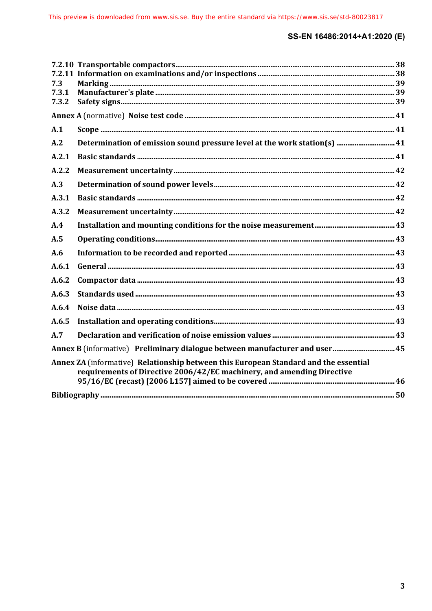| 7.3   |                                                                                      |  |
|-------|--------------------------------------------------------------------------------------|--|
| 7.3.1 |                                                                                      |  |
| 7.3.2 |                                                                                      |  |
|       |                                                                                      |  |
| A.1   |                                                                                      |  |
| A.2   | Determination of emission sound pressure level at the work station(s)  41            |  |
| A.2.1 |                                                                                      |  |
| A.2.2 |                                                                                      |  |
| A.3   |                                                                                      |  |
| A.3.1 |                                                                                      |  |
| A.3.2 |                                                                                      |  |
| A.4   |                                                                                      |  |
| A.5   |                                                                                      |  |
| A.6   |                                                                                      |  |
| A.6.1 |                                                                                      |  |
| A.6.2 |                                                                                      |  |
| A.6.3 |                                                                                      |  |
| A.6.4 |                                                                                      |  |
| A.6.5 |                                                                                      |  |
| A.7   |                                                                                      |  |
|       | Annex B (informative) Preliminary dialogue between manufacturer and user 45          |  |
|       | Annex ZA (informative) Relationship between this European Standard and the essential |  |
|       | requirements of Directive 2006/42/EC machinery, and amending Directive               |  |
|       |                                                                                      |  |
|       |                                                                                      |  |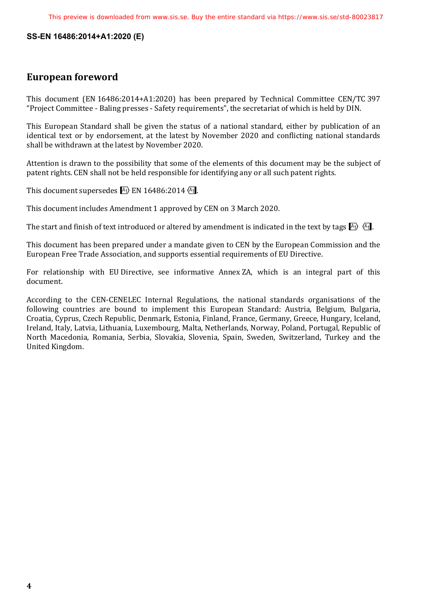# **European foreword**

This document (EN 16486:2014+A1:2020) has been prepared by Technical Committee CEN/TC 397 "Project Committee - Baling presses - Safety requirements", the secretariat of which is held by DIN.

This European Standard shall be given the status of a national standard, either by publication of an identical text or by endorsement, at the latest by November 2020 and conflicting national standards shall be withdrawn at the latest by November 2020.

Attention is drawn to the possibility that some of the elements of this document may be the subject of patent rights. CEN shall not be held responsible for identifying any or all such patent rights.

This document supersedes  $A_1$  EN 16486:2014  $A_1$ .

This document includes Amendment 1 approved by CEN on 3 March 2020.

The start and finish of text introduced or altered by amendment is indicated in the text by tags  $\mathbb{A}_1$ .

This document has been prepared under a mandate given to CEN by the European Commission and the European Free Trade Association, and supports essential requirements of EU Directive.

For relationship with EU Directive, see informative Annex ZA, which is an integral part of this document.

According to the CEN-CENELEC Internal Regulations, the national standards organisations of the following countries are bound to implement this European Standard: Austria, Belgium, Bulgaria, Croatia, Cyprus, Czech Republic, Denmark, Estonia, Finland, France, Germany, Greece, Hungary, Iceland, Ireland, Italy, Latvia, Lithuania, Luxembourg, Malta, Netherlands, Norway, Poland, Portugal, Republic of North Macedonia, Romania, Serbia, Slovakia, Slovenia, Spain, Sweden, Switzerland, Turkey and the United Kingdom.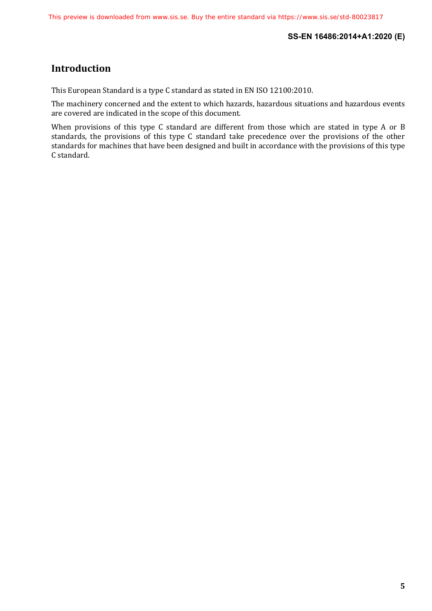## **Introduction**

This European Standard is a type C standard as stated in EN ISO 12100:2010.

The machinery concerned and the extent to which hazards, hazardous situations and hazardous events are covered are indicated in the scope of this document.

When provisions of this type C standard are different from those which are stated in type A or B standards, the provisions of this type C standard take precedence over the provisions of the other standards for machines that have been designed and built in accordance with the provisions of this type C standard.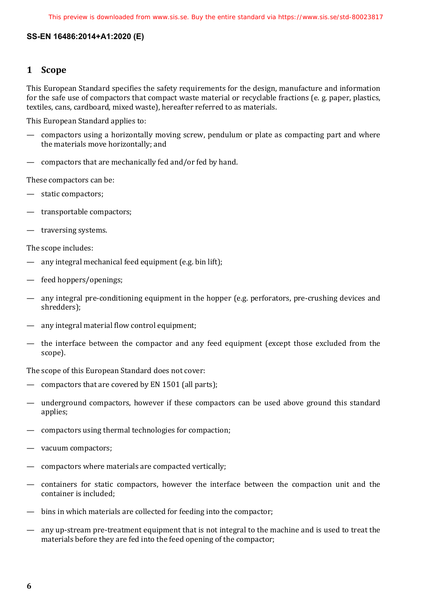### **1 Scope**

This European Standard specifies the safety requirements for the design, manufacture and information for the safe use of compactors that compact waste material or recyclable fractions (e. g. paper, plastics, textiles, cans, cardboard, mixed waste), hereafter referred to as materials.

This European Standard applies to:

- compactors using a horizontally moving screw, pendulum or plate as compacting part and where the materials move horizontally; and
- compactors that are mechanically fed and/or fed by hand.

These compactors can be:

- static compactors;
- transportable compactors;
- traversing systems.

The scope includes:

- any integral mechanical feed equipment (e.g. bin lift);
- feed hoppers/openings;
- any integral pre-conditioning equipment in the hopper (e.g. perforators, pre-crushing devices and shredders);
- any integral material flow control equipment;
- the interface between the compactor and any feed equipment (except those excluded from the scope).

The scope of this European Standard does not cover:

- compactors that are covered by EN 1501 (all parts);
- underground compactors, however if these compactors can be used above ground this standard applies;
- compactors using thermal technologies for compaction;
- vacuum compactors;
- compactors where materials are compacted vertically;
- containers for static compactors, however the interface between the compaction unit and the container is included;
- bins in which materials are collected for feeding into the compactor;
- any up-stream pre-treatment equipment that is not integral to the machine and is used to treat the materials before they are fed into the feed opening of the compactor;